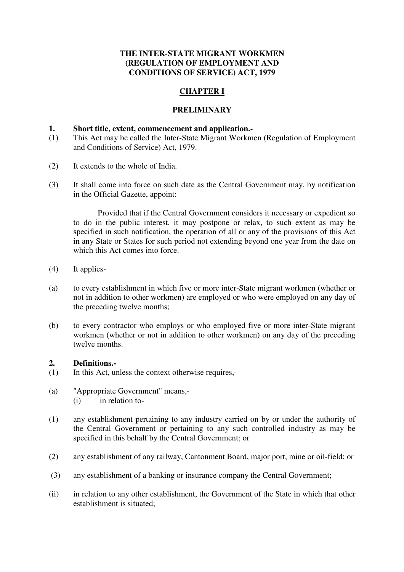## **THE INTER-STATE MIGRANT WORKMEN (REGULATION OF EMPLOYMENT AND CONDITIONS OF SERVICE) ACT, 1979**

# **CHAPTER I**

#### **PRELIMINARY**

#### **1. Short title, extent, commencement and application.-**

- (1) This Act may be called the Inter-State Migrant Workmen (Regulation of Employment and Conditions of Service) Act, 1979.
- (2) It extends to the whole of India.
- (3) It shall come into force on such date as the Central Government may, by notification in the Official Gazette, appoint:

 Provided that if the Central Government considers it necessary or expedient so to do in the public interest, it may postpone or relax, to such extent as may be specified in such notification, the operation of all or any of the provisions of this Act in any State or States for such period not extending beyond one year from the date on which this Act comes into force.

- (4) It applies-
- (a) to every establishment in which five or more inter-State migrant workmen (whether or not in addition to other workmen) are employed or who were employed on any day of the preceding twelve months;
- (b) to every contractor who employs or who employed five or more inter-State migrant workmen (whether or not in addition to other workmen) on any day of the preceding twelve months.

#### **2. Definitions.-**

- (1) In this Act, unless the context otherwise requires,-
- (a) "Appropriate Government" means,- (i) in relation to-
- (1) any establishment pertaining to any industry carried on by or under the authority of the Central Government or pertaining to any such controlled industry as may be specified in this behalf by the Central Government; or
- (2) any establishment of any railway, Cantonment Board, major port, mine or oil-field; or
- (3) any establishment of a banking or insurance company the Central Government;
- (ii) in relation to any other establishment, the Government of the State in which that other establishment is situated;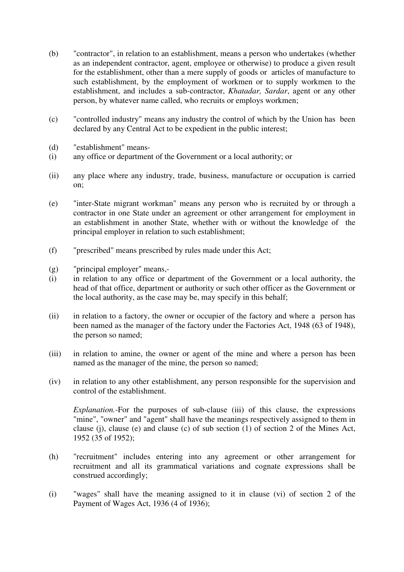- (b) "contractor", in relation to an establishment, means a person who undertakes (whether as an independent contractor, agent, employee or otherwise) to produce a given result for the establishment, other than a mere supply of goods or articles of manufacture to such establishment, by the employment of workmen or to supply workmen to the establishment, and includes a sub-contractor, *Khatadar, Sardar*, agent or any other person, by whatever name called, who recruits or employs workmen;
- (c) "controlled industry" means any industry the control of which by the Union has been declared by any Central Act to be expedient in the public interest;
- (d) "establishment" means-
- (i) any office or department of the Government or a local authority; or
- (ii) any place where any industry, trade, business, manufacture or occupation is carried on;
- (e) "inter-State migrant workman" means any person who is recruited by or through a contractor in one State under an agreement or other arrangement for employment in an establishment in another State, whether with or without the knowledge of the principal employer in relation to such establishment;
- (f) "prescribed" means prescribed by rules made under this Act;
- (g) "principal employer" means,-
- (i) in relation to any office or department of the Government or a local authority, the head of that office, department or authority or such other officer as the Government or the local authority, as the case may be, may specify in this behalf;
- (ii) in relation to a factory, the owner or occupier of the factory and where a person has been named as the manager of the factory under the Factories Act, 1948 (63 of 1948), the person so named;
- (iii) in relation to amine, the owner or agent of the mine and where a person has been named as the manager of the mine, the person so named;
- (iv) in relation to any other establishment, any person responsible for the supervision and control of the establishment.

*Explanation.*-For the purposes of sub-clause (iii) of this clause, the expressions "mine", "owner" and "agent" shall have the meanings respectively assigned to them in clause (j), clause (e) and clause (c) of sub section (1) of section 2 of the Mines Act, 1952 (35 of 1952);

- (h) "recruitment" includes entering into any agreement or other arrangement for recruitment and all its grammatical variations and cognate expressions shall be construed accordingly;
- (i) "wages" shall have the meaning assigned to it in clause (vi) of section 2 of the Payment of Wages Act, 1936 (4 of 1936);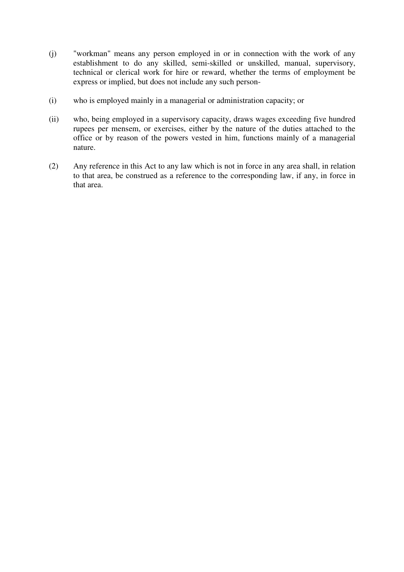- (j) "workman" means any person employed in or in connection with the work of any establishment to do any skilled, semi-skilled or unskilled, manual, supervisory, technical or clerical work for hire or reward, whether the terms of employment be express or implied, but does not include any such person-
- (i) who is employed mainly in a managerial or administration capacity; or
- (ii) who, being employed in a supervisory capacity, draws wages exceeding five hundred rupees per mensem, or exercises, either by the nature of the duties attached to the office or by reason of the powers vested in him, functions mainly of a managerial nature.
- (2) Any reference in this Act to any law which is not in force in any area shall, in relation to that area, be construed as a reference to the corresponding law, if any, in force in that area.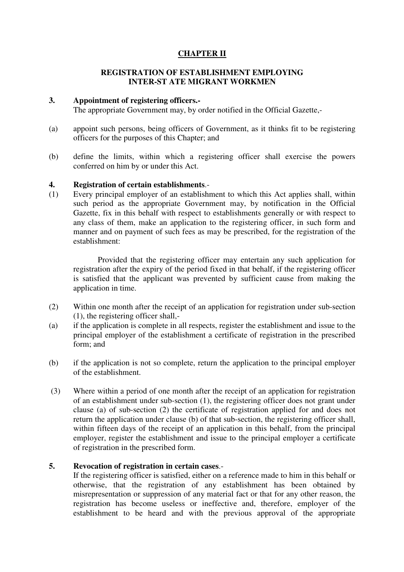# **CHAPTER II**

#### **REGISTRATION OF ESTABLISHMENT EMPLOYING INTER-ST ATE MIGRANT WORKMEN**

#### **3. Appointment of registering officers.-**

The appropriate Government may, by order notified in the Official Gazette,-

- (a) appoint such persons, being officers of Government, as it thinks fit to be registering officers for the purposes of this Chapter; and
- (b) define the limits, within which a registering officer shall exercise the powers conferred on him by or under this Act.

#### **4. Registration of certain establishments**.-

(1) Every principal employer of an establishment to which this Act applies shall, within such period as the appropriate Government may, by notification in the Official Gazette, fix in this behalf with respect to establishments generally or with respect to any class of them, make an application to the registering officer, in such form and manner and on payment of such fees as may be prescribed, for the registration of the establishment:

 Provided that the registering officer may entertain any such application for registration after the expiry of the period fixed in that behalf, if the registering officer is satisfied that the applicant was prevented by sufficient cause from making the application in time.

- (2) Within one month after the receipt of an application for registration under sub-section (1), the registering officer shall,-
- (a) if the application is complete in all respects, register the establishment and issue to the principal employer of the establishment a certificate of registration in the prescribed form; and
- (b) if the application is not so complete, return the application to the principal employer of the establishment.
- (3) Where within a period of one month after the receipt of an application for registration of an establishment under sub-section (1), the registering officer does not grant under clause (a) of sub-section (2) the certificate of registration applied for and does not return the application under clause (b) of that sub-section, the registering officer shall, within fifteen days of the receipt of an application in this behalf, from the principal employer, register the establishment and issue to the principal employer a certificate of registration in the prescribed form.

#### **5. Revocation of registration in certain cases**.-

If the registering officer is satisfied, either on a reference made to him in this behalf or otherwise, that the registration of any establishment has been obtained by misrepresentation or suppression of any material fact or that for any other reason, the registration has become useless or ineffective and, therefore, employer of the establishment to be heard and with the previous approval of the appropriate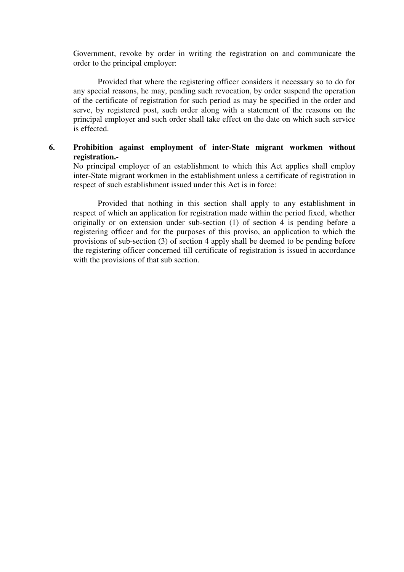Government, revoke by order in writing the registration on and communicate the order to the principal employer:

 Provided that where the registering officer considers it necessary so to do for any special reasons, he may, pending such revocation, by order suspend the operation of the certificate of registration for such period as may be specified in the order and serve, by registered post, such order along with a statement of the reasons on the principal employer and such order shall take effect on the date on which such service is effected.

## **6. Prohibition against employment of inter-State migrant workmen without registration.-**

No principal employer of an establishment to which this Act applies shall employ inter-State migrant workmen in the establishment unless a certificate of registration in respect of such establishment issued under this Act is in force:

 Provided that nothing in this section shall apply to any establishment in respect of which an application for registration made within the period fixed, whether originally or on extension under sub-section (1) of section 4 is pending before a registering officer and for the purposes of this proviso, an application to which the provisions of sub-section (3) of section 4 apply shall be deemed to be pending before the registering officer concerned till certificate of registration is issued in accordance with the provisions of that sub section.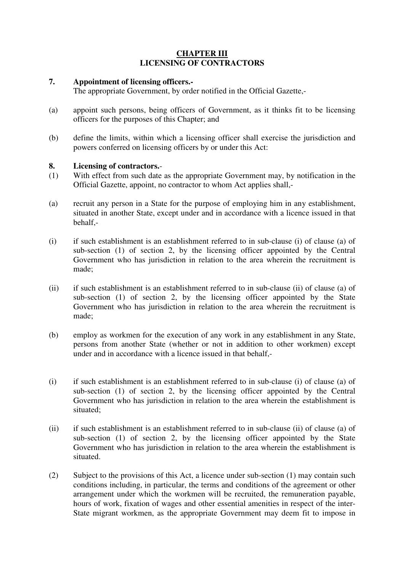## **CHAPTER III LICENSING OF CONTRACTORS**

#### **7. Appointment of licensing officers.-**

The appropriate Government, by order notified in the Official Gazette,-

- (a) appoint such persons, being officers of Government, as it thinks fit to be licensing officers for the purposes of this Chapter; and
- (b) define the limits, within which a licensing officer shall exercise the jurisdiction and powers conferred on licensing officers by or under this Act:

## **8. Licensing of contractors.**-

- (1) With effect from such date as the appropriate Government may, by notification in the Official Gazette, appoint, no contractor to whom Act applies shall,-
- (a) recruit any person in a State for the purpose of employing him in any establishment, situated in another State, except under and in accordance with a licence issued in that behalf,-
- (i) if such establishment is an establishment referred to in sub-clause (i) of clause (a) of sub-section (1) of section 2, by the licensing officer appointed by the Central Government who has jurisdiction in relation to the area wherein the recruitment is made;
- (ii) if such establishment is an establishment referred to in sub-clause (ii) of clause (a) of sub-section (1) of section 2, by the licensing officer appointed by the State Government who has jurisdiction in relation to the area wherein the recruitment is made;
- (b) employ as workmen for the execution of any work in any establishment in any State, persons from another State (whether or not in addition to other workmen) except under and in accordance with a licence issued in that behalf,-
- (i) if such establishment is an establishment referred to in sub-clause (i) of clause (a) of sub-section (1) of section 2, by the licensing officer appointed by the Central Government who has jurisdiction in relation to the area wherein the establishment is situated;
- (ii) if such establishment is an establishment referred to in sub-clause (ii) of clause (a) of sub-section (1) of section 2, by the licensing officer appointed by the State Government who has jurisdiction in relation to the area wherein the establishment is situated.
- (2) Subject to the provisions of this Act, a licence under sub-section (1) may contain such conditions including, in particular, the terms and conditions of the agreement or other arrangement under which the workmen will be recruited, the remuneration payable, hours of work, fixation of wages and other essential amenities in respect of the inter-State migrant workmen, as the appropriate Government may deem fit to impose in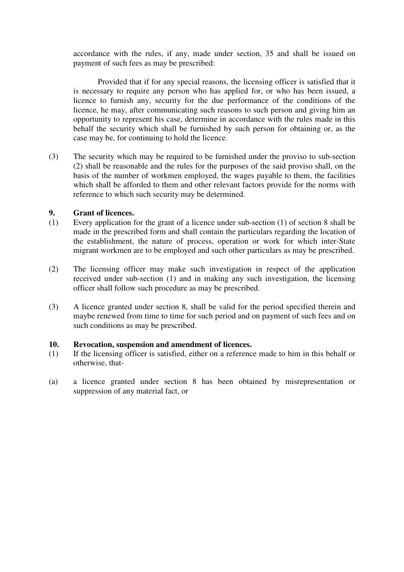accordance with the rules, if any, made under section, 35 and shall be issued on payment of such fees as may be prescribed:

 Provided that if for any special reasons, the licensing officer is satisfied that it is necessary to require any person who has applied for, or who has been issued, a licence to furnish any, security for the due performance of the conditions of the licence, he may, after communicating such reasons to such person and giving him an opportunity to represent his case, determine in accordance with the rules made in this behalf the security which shall be furnished by such person for obtaining or, as the case may be, for continuing to hold the licence.

(3) The security which may be required to be furnished under the proviso to sub-section (2) shall be reasonable and the rules for the purposes of the said proviso shall, on the basis of the number of workmen employed, the wages payable to them, the facilities which shall be afforded to them and other relevant factors provide for the norms with reference to which such security may be determined.

## **9. Grant of licences.**

- (1) Every application for the grant of a licence under sub-section (1) of section 8 shall be made in the prescribed form and shall contain the particulars regarding the location of the establishment, the nature of process, operation or work for which inter-State migrant workmen are to be employed and such other particulars as may be prescribed.
- (2) The licensing officer may make such investigation in respect of the application received under sub-section (1) and in making any such investigation, the licensing officer shall follow such procedure as may be prescribed.
- (3) A licence granted under section 8, shall be valid for the period specified therein and maybe renewed from time to time for such period and on payment of such fees and on such conditions as may be prescribed.

#### **10. Revocation, suspension and amendment of licences.**

- (1) If the licensing officer is satisfied, either on a reference made to him in this behalf or otherwise, that-
- (a) a licence granted under section 8 has been obtained by misrepresentation or suppression of any material fact, or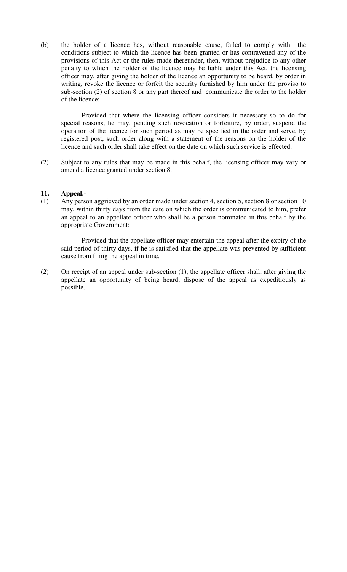(b) the holder of a licence has, without reasonable cause, failed to comply with the conditions subject to which the licence has been granted or has contravened any of the provisions of this Act or the rules made thereunder, then, without prejudice to any other penalty to which the holder of the licence may be liable under this Act, the licensing officer may, after giving the holder of the licence an opportunity to be heard, by order in writing, revoke the licence or forfeit the security furnished by him under the proviso to sub-section (2) of section 8 or any part thereof and communicate the order to the holder of the licence:

 Provided that where the licensing officer considers it necessary so to do for special reasons, he may, pending such revocation or forfeiture, by order, suspend the operation of the licence for such period as may be specified in the order and serve, by registered post, such order along with a statement of the reasons on the holder of the licence and such order shall take effect on the date on which such service is effected.

(2) Subject to any rules that may be made in this behalf, the licensing officer may vary or amend a licence granted under section 8.

#### **11. Appeal.-**

(1) Any person aggrieved by an order made under section 4, section 5, section 8 or section 10 may, within thirty days from the date on which the order is communicated to him, prefer an appeal to an appellate officer who shall be a person nominated in this behalf by the appropriate Government:

 Provided that the appellate officer may entertain the appeal after the expiry of the said period of thirty days, if he is satisfied that the appellate was prevented by sufficient cause from filing the appeal in time.

(2) On receipt of an appeal under sub-section (1), the appellate officer shall, after giving the appellate an opportunity of being heard, dispose of the appeal as expeditiously as possible.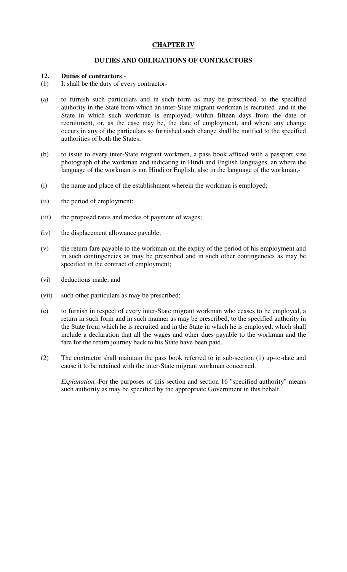# **CHAPTER IV**

## **DUTIES AND OBLIGATIONS OF CONTRACTORS**

## **12. Duties of contractors**.-

- (1) It shall be the duty of every contractor-
- (a) to furnish such particulars and in such form as may be prescribed, to the specified authority in the State from which an inter-State migrant workman is recruited and in the State in which such workman is employed, within fifteen days from the date of recruitment, or, as the case may be, the date of employment, and where any change occurs in any of the particulars so furnished such change shall be notified to the specified authorities of both the States;
- (b) to issue to every inter-State migrant workmen, a pass book affixed with a passport size photograph of the workman and indicating in Hindi and English languages, an where the language of the workman is not Hindi or English, also in the language of the workman,-
- (i) the name and place of the establishment wherein the workman is employed;
- (ii) the period of employment;
- (iii) the proposed rates and modes of payment of wages;
- (iv) the displacement allowance payable;
- (v) the return fare payable to the workman on the expiry of the period of his employment and in such contingencies as may be prescribed and in such other contingencies as may be specified in the contract of employment;
- (vi) deductions made; and
- (vii) such other particulars as may be prescribed;
- (c) to furnish in respect of every inter-State migrant workman who ceases to be employed, a return in such form and in such manner as may be prescribed, to the specified authority in the State from which he is recruited and in the State in which he is employed, which shall include a declaration that all the wages and other dues payable to the workman and the fare for the return journey back to his State have been paid.
- (2) The contractor shall maintain the pass book referred to in sub-section (1) up-to-date and cause it to be retained with the inter-State migrant workman concerned.

*Explanation.-*For the purposes of this section and section 16 "specified authority" means such authority as may be specified by the appropriate Government in this behalf.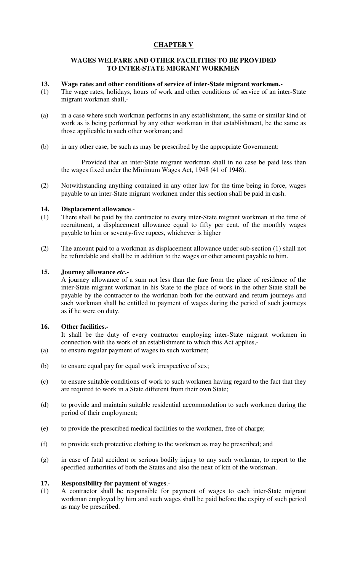# **CHAPTER V**

## **WAGES WELFARE AND OTHER FACILITIES TO BE PROVIDED TO INTER-STATE MIGRANT WORKMEN**

## **13. Wage rates and other conditions of service of inter-State migrant workmen.-**

- (1) The wage rates, holidays, hours of work and other conditions of service of an inter-State migrant workman shall,-
- (a) in a case where such workman performs in any establishment, the same or similar kind of work as is being performed by any other workman in that establishment, be the same as those applicable to such other workman; and
- (b) in any other case, be such as may be prescribed by the appropriate Government:

 Provided that an inter-State migrant workman shall in no case be paid less than the wages fixed under the Minimum Wages Act, 1948 (41 of 1948).

(2) Notwithstanding anything contained in any other law for the time being in force, wages payable to an inter-State migrant workmen under this section shall be paid in cash.

## **14. Displacement allowance**.-

- (1) There shall be paid by the contractor to every inter-State migrant workman at the time of recruitment, a displacement allowance equal to fifty per cent. of the monthly wages payable to him or seventy-five rupees, whichever is higher
- (2) The amount paid to a workman as displacement allowance under sub-section (1) shall not be refundable and shall be in addition to the wages or other amount payable to him.

## **15. Journey allowance** *etc***.-**

A journey allowance of a sum not less than the fare from the place of residence of the inter-State migrant workman in his State to the place of work in the other State shall be payable by the contractor to the workman both for the outward and return journeys and such workman shall be entitled to payment of wages during the period of such journeys as if he were on duty.

## **16. Other facilities.-**

It shall be the duty of every contractor employing inter-State migrant workmen in connection with the work of an establishment to which this Act applies,-

- (a) to ensure regular payment of wages to such workmen;
- (b) to ensure equal pay for equal work irrespective of sex;
- (c) to ensure suitable conditions of work to such workmen having regard to the fact that they are required to work in a State different from their own State;
- (d) to provide and maintain suitable residential accommodation to such workmen during the period of their employment;
- (e) to provide the prescribed medical facilities to the workmen, free of charge;
- (f) to provide such protective clothing to the workmen as may be prescribed; and
- (g) in case of fatal accident or serious bodily injury to any such workman, to report to the specified authorities of both the States and also the next of kin of the workman.

#### **17. Responsibility for payment of wages**.-

(1) A contractor shall be responsible for payment of wages to each inter-State migrant workman employed by him and such wages shall be paid before the expiry of such period as may be prescribed.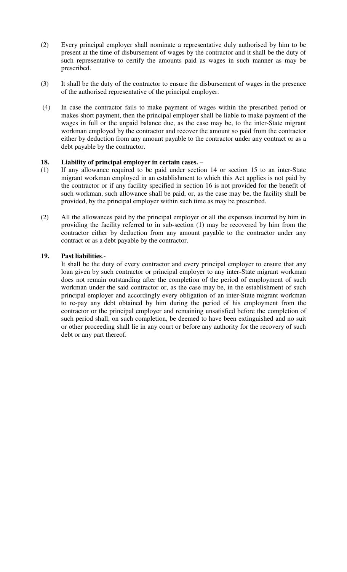- (2) Every principal employer shall nominate a representative duly authorised by him to be present at the time of disbursement of wages by the contractor and it shall be the duty of such representative to certify the amounts paid as wages in such manner as may be prescribed.
- (3) It shall be the duty of the contractor to ensure the disbursement of wages in the presence of the authorised representative of the principal employer.
- (4) In case the contractor fails to make payment of wages within the prescribed period or makes short payment, then the principal employer shall be liable to make payment of the wages in full or the unpaid balance due, as the case may be, to the inter-State migrant workman employed by the contractor and recover the amount so paid from the contractor either by deduction from any amount payable to the contractor under any contract or as a debt payable by the contractor.

## **18. Liability of principal employer in certain cases.** –

- (1) If any allowance required to be paid under section 14 or section 15 to an inter-State migrant workman employed in an establishment to which this Act applies is not paid by the contractor or if any facility specified in section 16 is not provided for the benefit of such workman, such allowance shall be paid, or, as the case may be, the facility shall be provided, by the principal employer within such time as may be prescribed.
- (2) All the allowances paid by the principal employer or all the expenses incurred by him in providing the facility referred to in sub-section (1) may be recovered by him from the contractor either by deduction from any amount payable to the contractor under any contract or as a debt payable by the contractor.

# **19. Past liabilities**.-

It shall be the duty of every contractor and every principal employer to ensure that any loan given by such contractor or principal employer to any inter-State migrant workman does not remain outstanding after the completion of the period of employment of such workman under the said contractor or, as the case may be, in the establishment of such principal employer and accordingly every obligation of an inter-State migrant workman to re-pay any debt obtained by him during the period of his employment from the contractor or the principal employer and remaining unsatisfied before the completion of such period shall, on such completion, be deemed to have been extinguished and no suit or other proceeding shall lie in any court or before any authority for the recovery of such debt or any part thereof.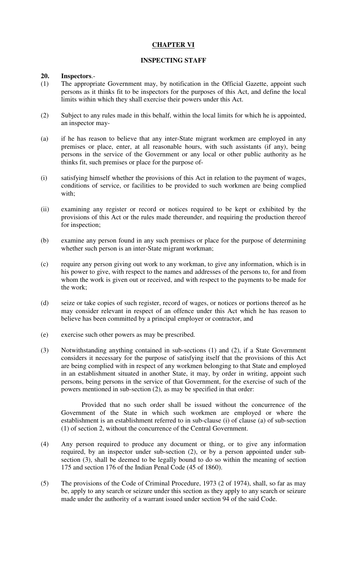## **CHAPTER VI**

## **INSPECTING STAFF**

#### **20. Inspectors**.-

- (1) The appropriate Government may, by notification in the Official Gazette, appoint such persons as it thinks fit to be inspectors for the purposes of this Act, and define the local limits within which they shall exercise their powers under this Act.
- (2) Subject to any rules made in this behalf, within the local limits for which he is appointed, an inspector may-
- (a) if he has reason to believe that any inter-State migrant workmen are employed in any premises or place, enter, at all reasonable hours, with such assistants (if any), being persons in the service of the Government or any local or other public authority as he thinks fit, such premises or place for the purpose of-
- (i) satisfying himself whether the provisions of this Act in relation to the payment of wages, conditions of service, or facilities to be provided to such workmen are being complied with;
- (ii) examining any register or record or notices required to be kept or exhibited by the provisions of this Act or the rules made thereunder, and requiring the production thereof for inspection;
- (b) examine any person found in any such premises or place for the purpose of determining whether such person is an inter-State migrant workman;
- (c) require any person giving out work to any workman, to give any information, which is in his power to give, with respect to the names and addresses of the persons to, for and from whom the work is given out or received, and with respect to the payments to be made for the work;
- (d) seize or take copies of such register, record of wages, or notices or portions thereof as he may consider relevant in respect of an offence under this Act which he has reason to believe has been committed by a principal employer or contractor, and
- (e) exercise such other powers as may be prescribed.
- (3) Notwithstanding anything contained in sub-sections (1) and (2), if a State Government considers it necessary for the purpose of satisfying itself that the provisions of this Act are being complied with in respect of any workmen belonging to that State and employed in an establishment situated in another State, it may, by order in writing, appoint such persons, being persons in the service of that Government, for the exercise of such of the powers mentioned in sub-section (2), as may be specified in that order:

 Provided that no such order shall be issued without the concurrence of the Government of the State in which such workmen are employed or where the establishment is an establishment referred to in sub-clause (i) of clause (a) of sub-section (1) of section 2, without the concurrence of the Central Government.

- (4) Any person required to produce any document or thing, or to give any information required, by an inspector under sub-section (2), or by a person appointed under subsection (3), shall be deemed to be legally bound to do so within the meaning of section 175 and section 176 of the Indian Penal Code (45 of 1860).
- (5) The provisions of the Code of Criminal Procedure, 1973 (2 of 1974), shall, so far as may be, apply to any search or seizure under this section as they apply to any search or seizure made under the authority of a warrant issued under section 94 of the said Code.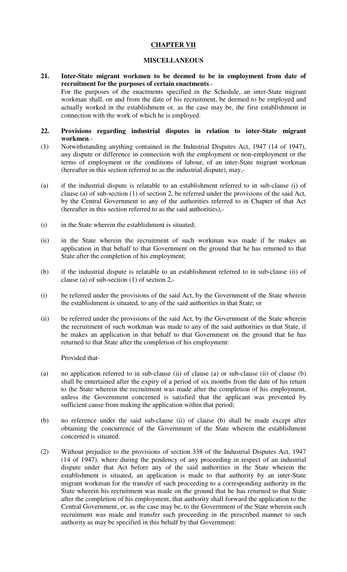# **CHAPTER VII**

## **MISCELLANEOUS**

**21. Inter-State migrant workmen to be deemed to be in employment from date of recruitment for the purposes of certain enactments**.- For the purposes of the enactments specified in the Schedule, an inter-State migrant workman shall, on and from the date of his recruitment, be deemed to be employed and actually worked in the establishment or, as the case may be, the first establishment in connection with the work of which he is employed.

#### **22. Provisions regarding industrial disputes in relation to inter-State migrant workmen**.-

- (1) Notwithstanding anything contained in the Industrial Disputes Act, 1947 (14 of 1947), any dispute or difference in connection with the employment or non-employment or the terms of employment or the conditions of labour, of an inter-State migrant workman (hereafter in this section referred to as the industrial dispute), may,-
- (a) if the industrial dispute is relatable to an establishment referred to in sub-clause (i) of clause (a) of sub-section (1) of section 2, be referred under the provisions of the said Act, by the Central Government to any of the authorities referred to in Chapter of that Act (hereafter in this section referred to as the said authorities),-
- (i) in the State wherein the establishment is situated;
- (ii) in the State wherein the recruitment of such workman was made if he makes an application in that behalf to that Government on the ground that he has returned to that State after the completion of his employment;
- (b) if the industrial dispute is relatable to an establishment referred to in sub-clause (ii) of clause (a) of sub-section (1) of section 2,-
- (i) be referred under the provisions of the said Act, by the Government of the State wherein the establishment is situated, to any of the said authorities in that State; or
- (ii) be referred under the provisions of the said Act, by the Government of the State wherein the recruitment of such workman was made to any of the said authorities in that State, if he makes an application in that behalf to that Government on the ground that he has returned to that State after the completion of his employment:

Provided that-

- (a) no application referred to in sub-clause (ii) of clause (a) or sub-clause (ii) of clause (b) shall be entertained after the expiry of a period of six months from the date of his return to the State wherein the recruitment was made after the completion of his employment, unless the Government concerned is satisfied that the applicant was prevented by sufficient cause from making the application within that period;
- (b) no reference under the said sub-clause (ii) of clause (b) shall be made except after obtaining the concurrence of the Government of the State wherein the establishment concerned is situated.
- (2) Without prejudice to the provisions of section 338 of the Industrial Disputes Act, 1947 (14 of 1947), where during the pendency of any proceeding in respect of an industrial dispute under that Act before any of the said authorities in the State wherein the establishment is situated, an application is made to that authority by an inter-State migrant workman for the transfer of such proceeding to a corresponding authority in the State wherein his recruitment was made on the ground that he has returned to that State after the completion of his employment, that authority shall forward the application to the Central Government, or, as the case may be, to the Government of the State wherein such recruitment was made and transfer such proceeding in the prescribed manner to such authority as may be specified in this behalf by that Government: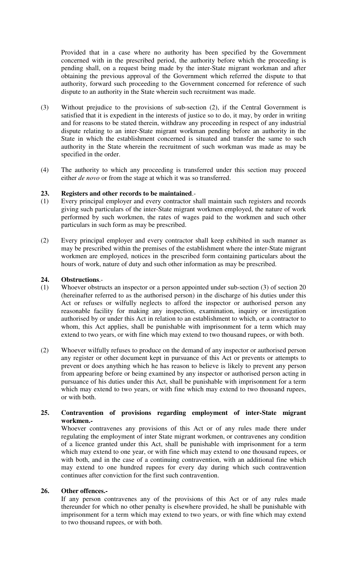Provided that in a case where no authority has been specified by the Government concerned with in the prescribed period, the authority before which the proceeding is pending shall, on a request being made by the inter-State migrant workman and after obtaining the previous approval of the Government which referred the dispute to that authority, forward such proceeding to the Government concerned for reference of such dispute to an authority in the State wherein such recruitment was made.

- (3) Without prejudice to the provisions of sub-section (2), if the Central Government is satisfied that it is expedient in the interests of justice so to do, it may, by order in writing and for reasons to be stated therein, withdraw any proceeding in respect of any industrial dispute relating to an inter-State migrant workman pending before an authority in the State in which the establishment concerned is situated and transfer the same to such authority in the State wherein the recruitment of such workman was made as may be specified in the order.
- (4) The authority to which any proceeding is transferred under this section may proceed either *de novo* or from the stage at which it was so transferred.

## **23. Registers and other records to be maintained**.-

- (1) Every principal employer and every contractor shall maintain such registers and records giving such particulars of the inter-State migrant workmen employed, the nature of work performed by such workmen, the rates of wages paid to the workmen and such other particulars in such form as may be prescribed.
- (2) Every principal employer and every contractor shall keep exhibited in such manner as may be prescribed within the premises of the establishment where the inter-State migrant workmen are employed, notices in the prescribed form containing particulars about the hours of work, nature of duty and such other information as may be prescribed.

## **24. Obstructions**.-

- (1) Whoever obstructs an inspector or a person appointed under sub-section (3) of section 20 (hereinafter referred to as the authorised person) in the discharge of his duties under this Act or refuses or wilfully neglects to afford the inspector or authorised person any reasonable facility for making any inspection, examination, inquiry or investigation authorised by or under this Act in relation to an establishment to which, or a contractor to whom, this Act applies, shall be punishable with imprisonment for a term which may extend to two years, or with fine which may extend to two thousand rupees, or with both.
- (2) Whoever wilfully refuses to produce on the demand of any inspector or authorised person any register or other document kept in pursuance of this Act or prevents or attempts to prevent or does anything which he has reason to believe is likely to prevent any person from appearing before or being examined by any inspector or authorised person acting in pursuance of his duties under this Act, shall be punishable with imprisonment for a term which may extend to two years, or with fine which may extend to two thousand rupees, or with both.

## **25. Contravention of provisions regarding employment of inter-State migrant workmen.-**

Whoever contravenes any provisions of this Act or of any rules made there under regulating the employment of inter State migrant workmen, or contravenes any condition of a licence granted under this Act, shall be punishable with imprisonment for a term which may extend to one year, or with fine which may extend to one thousand rupees, or with both, and in the case of a continuing contravention, with an additional fine which may extend to one hundred rupees for every day during which such contravention continues after conviction for the first such contravention.

# **26. Other offences.-**

If any person contravenes any of the provisions of this Act or of any rules made thereunder for which no other penalty is elsewhere provided, he shall be punishable with imprisonment for a term which may extend to two years, or with fine which may extend to two thousand rupees, or with both.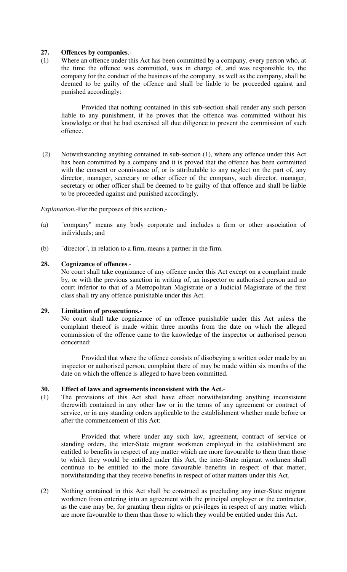### **27. Offences by companies**.-

(1) Where an offence under this Act has been committed by a company, every person who, at the time the offence was committed, was in charge of, and was responsible to, the company for the conduct of the business of the company, as well as the company, shall be deemed to be guilty of the offence and shall be liable to be proceeded against and punished accordingly:

 Provided that nothing contained in this sub-section shall render any such person liable to any punishment, if he proves that the offence was committed without his knowledge or that he had exercised all due diligence to prevent the commission of such offence.

 (2) Notwithstanding anything contained in sub-section (1), where any offence under this Act has been committed by a company and it is proved that the offence has been committed with the consent or connivance of, or is attributable to any neglect on the part of, any director, manager, secretary or other officer of the company, such director, manager, secretary or other officer shall be deemed to be guilty of that offence and shall be liable to be proceeded against and punished accordingly.

*Explanation.-*For the purposes of this section,-

- (a) "company" means any body corporate and includes a firm or other association of individuals; and
- (b) "director", in relation to a firm, means a partner in the firm.

#### **28. Cognizance of offences**.-

No court shall take cognizance of any offence under this Act except on a complaint made by, or with the previous sanction in writing of, an inspector or authorised person and no court inferior to that of a Metropolitan Magistrate or a Judicial Magistrate of the first class shall try any offence punishable under this Act.

#### **29. Limitation of prosecutions.-**

No court shall take cognizance of an offence punishable under this Act unless the complaint thereof is made within three months from the date on which the alleged commission of the offence came to the knowledge of the inspector or authorised person concerned:

 Provided that where the offence consists of disobeying a written order made by an inspector or authorised person, complaint there of may be made within six months of the date on which the offence is alleged to have been committed.

#### **30. Effect of laws and agreements inconsistent with the Act.**-

(1) The provisions of this Act shall have effect notwithstanding anything inconsistent therewith contained in any other law or in the terms of any agreement or contract of service, or in any standing orders applicable to the establishment whether made before or after the commencement of this Act:

 Provided that where under any such law, agreement, contract of service or standing orders, the inter-State migrant workmen employed in the establishment are entitled to benefits in respect of any matter which are more favourable to them than those to which they would be entitled under this Act, the inter-State migrant workmen shall continue to be entitled to the more favourable benefits in respect of that matter, notwithstanding that they receive benefits in respect of other matters under this Act.

(2) Nothing contained in this Act shall be construed as precluding any inter-State migrant workmen from entering into an agreement with the principal employer or the contractor, as the case may be, for granting them rights or privileges in respect of any matter which are more favourable to them than those to which they would be entitled under this Act.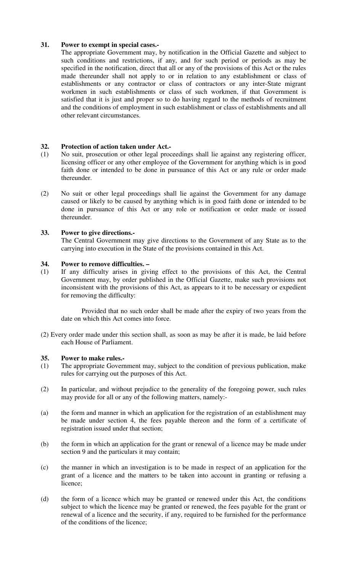# **31. Power to exempt in special cases.-**

The appropriate Government may, by notification in the Official Gazette and subject to such conditions and restrictions, if any, and for such period or periods as may be specified in the notification, direct that all or any of the provisions of this Act or the rules made thereunder shall not apply to or in relation to any establishment or class of establishments or any contractor or class of contractors or any inter-State migrant workmen in such establishments or class of such workmen, if that Government is satisfied that it is just and proper so to do having regard to the methods of recruitment and the conditions of employment in such establishment or class of establishments and all other relevant circumstances.

# **32. Protection of action taken under Act.-**

- (1) No suit, prosecution or other legal proceedings shall lie against any registering officer, licensing officer or any other employee of the Government for anything which is in good faith done or intended to be done in pursuance of this Act or any rule or order made thereunder.
- (2) No suit or other legal proceedings shall lie against the Government for any damage caused or likely to be caused by anything which is in good faith done or intended to be done in pursuance of this Act or any role or notification or order made or issued thereunder.

# **33. Power to give directions.-**

 The Central Government may give directions to the Government of any State as to the carrying into execution in the State of the provisions contained in this Act.

# **34. Power to remove difficulties. –**

(1) If any difficulty arises in giving effect to the provisions of this Act, the Central Government may, by order published in the Official Gazette, make such provisions not inconsistent with the provisions of this Act, as appears to it to be necessary or expedient for removing the difficulty:

 Provided that no such order shall be made after the expiry of two years from the date on which this Act comes into force.

(2) Every order made under this section shall, as soon as may be after it is made, be laid before each House of Parliament.

## **35. Power to make rules.-**

- (1) The appropriate Government may, subject to the condition of previous publication, make rules for carrying out the purposes of this Act.
- (2) In particular, and without prejudice to the generality of the foregoing power, such rules may provide for all or any of the following matters, namely:-
- (a) the form and manner in which an application for the registration of an establishment may be made under section 4, the fees payable thereon and the form of a certificate of registration issued under that section;
- (b) the form in which an application for the grant or renewal of a licence may be made under section 9 and the particulars it may contain;
- (c) the manner in which an investigation is to be made in respect of an application for the grant of a licence and the matters to be taken into account in granting or refusing a licence;
- (d) the form of a licence which may be granted or renewed under this Act, the conditions subject to which the licence may be granted or renewed, the fees payable for the grant or renewal of a licence and the security, if any, required to be furnished for the performance of the conditions of the licence;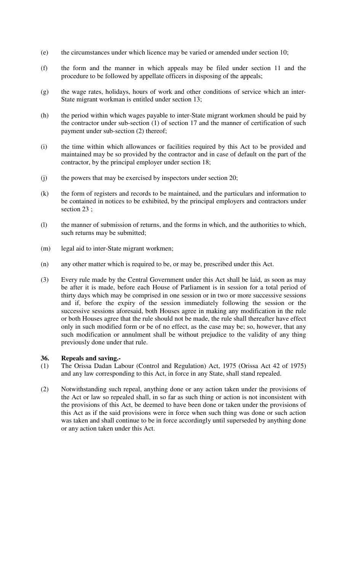- (e) the circumstances under which licence may be varied or amended under section 10;
- (f) the form and the manner in which appeals may be filed under section 11 and the procedure to be followed by appellate officers in disposing of the appeals;
- (g) the wage rates, holidays, hours of work and other conditions of service which an inter-State migrant workman is entitled under section 13;
- (h) the period within which wages payable to inter-State migrant workmen should be paid by the contractor under sub-section (1) of section 17 and the manner of certification of such payment under sub-section (2) thereof;
- (i) the time within which allowances or facilities required by this Act to be provided and maintained may be so provided by the contractor and in case of default on the part of the contractor, by the principal employer under section 18;
- (j) the powers that may be exercised by inspectors under section 20;
- (k) the form of registers and records to be maintained, and the particulars and information to be contained in notices to be exhibited, by the principal employers and contractors under section 23 ;
- (l) the manner of submission of returns, and the forms in which, and the authorities to which, such returns may be submitted;
- (m) legal aid to inter-State migrant workmen;
- (n) any other matter which is required to be, or may be, prescribed under this Act.
- (3) Every rule made by the Central Government under this Act shall be laid, as soon as may be after it is made, before each House of Parliament is in session for a total period of thirty days which may be comprised in one session or in two or more successive sessions and if, before the expiry of the session immediately following the session or the successive sessions aforesaid, both Houses agree in making any modification in the rule or both Houses agree that the rule should not be made, the rule shall thereafter have effect only in such modified form or be of no effect, as the case may be; so, however, that any such modification or annulment shall be without prejudice to the validity of any thing previously done under that rule.

#### **36. Repeals and saving.-**

- (1) The Orissa Dadan Labour (Control and Regulation) Act, 1975 (Orissa Act 42 of 1975) and any law corresponding to this Act, in force in any State, shall stand repealed.
- (2) Notwithstanding such repeal, anything done or any action taken under the provisions of the Act or law so repealed shall, in so far as such thing or action is not inconsistent with the provisions of this Act, be deemed to have been done or taken under the provisions of this Act as if the said provisions were in force when such thing was done or such action was taken and shall continue to be in force accordingly until superseded by anything done or any action taken under this Act.